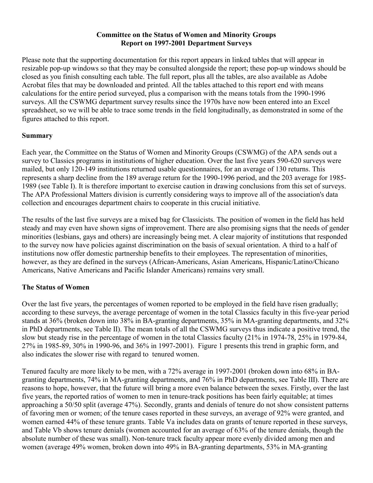#### **Committee on the Status of Women and Minority Groups Report on 1997-2001 Department Surveys**

Please note that the supporting documentation for this report appears in linked tables that will appear in resizable pop-up windows so that they may be consulted alongside the report; these pop-up windows should be closed as you finish consulting each table. The full report, plus all the tables, are also available as Adobe Acrobat files that may be downloaded and printed. All the tables attached to this report end with means calculations for the entire period surveyed, plus a comparison with the means totals from the 1990-1996 surveys. All the CSWMG department survey results since the 1970s have now been entered into an Excel spreadsheet, so we will be able to trace some trends in the field longitudinally, as demonstrated in some of the figures attached to this report.

## **Summary**

Each year, the Committee on the Status of Women and Minority Groups (CSWMG) of the APA sends out a survey to Classics programs in institutions of higher education. Over the last five years 590-620 surveys were mailed, but only 120-149 institutions returned usable questionnaires, for an average of 130 returns. This represents a sharp decline from the 189 average return for the 1990-1996 period, and the 203 average for 1985- 1989 (see Table I). It is therefore important to exercise caution in drawing conclusions from this set of surveys. The APA Professional Matters division is currently considering ways to improve all of the association's data collection and encourages department chairs to cooperate in this crucial initiative.

The results of the last five surveys are a mixed bag for Classicists. The position of women in the field has held steady and may even have shown signs of improvement. There are also promising signs that the needs of gender minorities (lesbians, gays and others) are increasingly being met. A clear majority of institutions that responded to the survey now have policies against discrimination on the basis of sexual orientation. A third to a half of institutions now offer domestic partnership benefits to their employees. The representation of minorities, however, as they are defined in the surveys (African-Americans, Asian Americans, Hispanic/Latino/Chicano Americans, Native Americans and Pacific Islander Americans) remains very small.

# **The Status of Women**

Over the last five years, the percentages of women reported to be employed in the field have risen gradually; according to these surveys, the average percentage of women in the total Classics faculty in this five-year period stands at 36% (broken down into 38% in BA-granting departments, 35% in MA-granting departments, and 32% in PhD departments, see Table II). The mean totals of all the CSWMG surveys thus indicate a positive trend, the slow but steady rise in the percentage of women in the total Classics faculty (21% in 1974-78, 25% in 1979-84, 27% in 1985-89, 30% in 1990-96, and 36% in 1997-2001). Figure 1 presents this trend in graphic form, and also indicates the slower rise with regard to tenured women.

Tenured faculty are more likely to be men, with a 72% average in 1997-2001 (broken down into 68% in BAgranting departments, 74% in MA-granting departments, and 76% in PhD departments, see Table III). There are reasons to hope, however, that the future will bring a more even balance between the sexes. Firstly, over the last five years, the reported ratios of women to men in tenure-track positions has been fairly equitable; at times approaching a 50/50 split (average 47%). Secondly, grants and denials of tenure do not show consistent patterns of favoring men or women; of the tenure cases reported in these surveys, an average of 92% were granted, and women earned 44% of these tenure grants. Table Va includes data on grants of tenure reported in these surveys, and Table Vb shows tenure denials (women accounted for an average of 63% of the tenure denials, though the absolute number of these was small). Non-tenure track faculty appear more evenly divided among men and women (average 49% women, broken down into 49% in BA-granting departments, 53% in MA-granting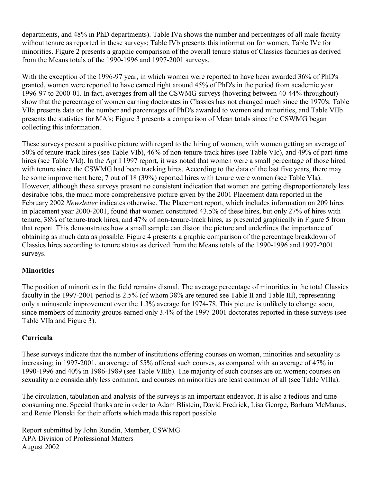departments, and 48% in PhD departments). Table IVa shows the number and percentages of all male faculty without tenure as reported in these surveys; Table IVb presents this information for women, Table IVc for minorities. Figure 2 presents a graphic comparison of the overall tenure status of Classics faculties as derived from the Means totals of the 1990-1996 and 1997-2001 surveys.

With the exception of the 1996-97 year, in which women were reported to have been awarded 36% of PhD's granted, women were reported to have earned right around 45% of PhD's in the period from academic year 1996-97 to 2000-01. In fact, averages from all the CSWMG surveys (hovering between 40-44% throughout) show that the percentage of women earning doctorates in Classics has not changed much since the 1970's. Table VIIa presents data on the number and percentages of PhD's awarded to women and minorities, and Table VIIb presents the statistics for MA's; Figure 3 presents a comparison of Mean totals since the CSWMG began collecting this information.

These surveys present a positive picture with regard to the hiring of women, with women getting an average of 50% of tenure-track hires (see Table VIb), 46% of non-tenure-track hires (see Table VIc), and 49% of part-time hires (see Table VId). In the April 1997 report, it was noted that women were a small percentage of those hired with tenure since the CSWMG had been tracking hires. According to the data of the last five years, there may be some improvement here; 7 out of 18 (39%) reported hires with tenure were women (see Table VIa). However, although these surveys present no consistent indication that women are getting disproportionately less desirable jobs, the much more comprehensive picture given by the 2001 Placement data reported in the February 2002 *Newsletter* indicates otherwise. The Placement report, which includes information on 209 hires in placement year 2000-2001, found that women constituted 43.5% of these hires, but only 27% of hires with tenure, 38% of tenure-track hires, and 47% of non-tenure-track hires, as presented graphically in Figure 5 from that report. This demonstrates how a small sample can distort the picture and underlines the importance of obtaining as much data as possible. Figure 4 presents a graphic comparison of the percentage breakdown of Classics hires according to tenure status as derived from the Means totals of the 1990-1996 and 1997-2001 surveys.

### **Minorities**

The position of minorities in the field remains dismal. The average percentage of minorities in the total Classics faculty in the 1997-2001 period is 2.5% (of whom 38% are tenured see Table II and Table III), representing only a minuscule improvement over the 1.3% average for 1974-78. This picture is unlikely to change soon, since members of minority groups earned only 3.4% of the 1997-2001 doctorates reported in these surveys (see Table VIIa and Figure 3).

### **Curricula**

These surveys indicate that the number of institutions offering courses on women, minorities and sexuality is increasing; in 1997-2001, an average of 55% offered such courses, as compared with an average of 47% in 1990-1996 and 40% in 1986-1989 (see Table VIIIb). The majority of such courses are on women; courses on sexuality are considerably less common, and courses on minorities are least common of all (see Table VIIIa).

The circulation, tabulation and analysis of the surveys is an important endeavor. It is also a tedious and timeconsuming one. Special thanks are in order to Adam Blistein, David Fredrick, Lisa George, Barbara McManus, and Renie Plonski for their efforts which made this report possible.

Report submitted by John Rundin, Member, CSWMG APA Division of Professional Matters August 2002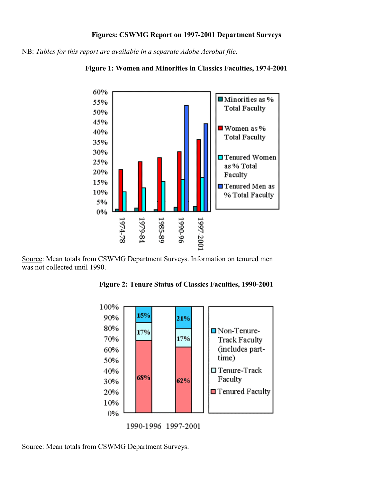#### **Figures: CSWMG Report on 1997-2001 Department Surveys**

NB: *Tables for this report are available in a separate Adobe Acrobat file.*





Source: Mean totals from CSWMG Department Surveys. Information on tenured men was not collected until 1990.

**Figure 2: Tenure Status of Classics Faculties, 1990-2001** 



1990-1996 1997-2001

Source: Mean totals from CSWMG Department Surveys.